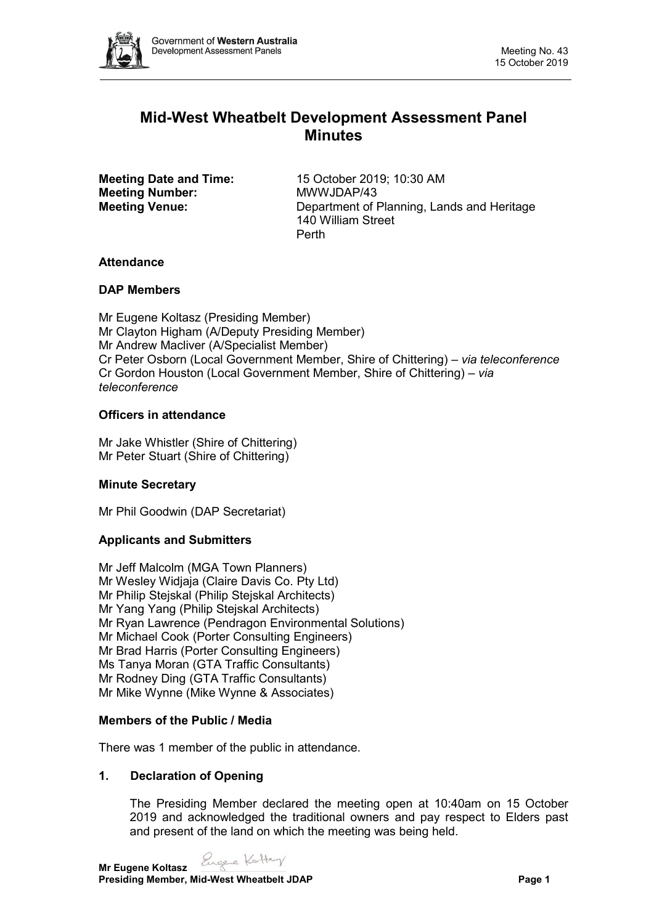

# **Mid-West Wheatbelt Development Assessment Panel Minutes**

**Meeting Number:** MWWJDAP/43

**Meeting Date and Time:** 15 October 2019; 10:30 AM **Meeting Venue:** Department of Planning, Lands and Heritage 140 William Street Perth

# **Attendance**

# **DAP Members**

Mr Eugene Koltasz (Presiding Member) Mr Clayton Higham (A/Deputy Presiding Member) Mr Andrew Macliver (A/Specialist Member) Cr Peter Osborn (Local Government Member, Shire of Chittering) *– via teleconference* Cr Gordon Houston (Local Government Member, Shire of Chittering) *– via teleconference*

# **Officers in attendance**

Mr Jake Whistler (Shire of Chittering) Mr Peter Stuart (Shire of Chittering)

# **Minute Secretary**

Mr Phil Goodwin (DAP Secretariat)

# **Applicants and Submitters**

Mr Jeff Malcolm (MGA Town Planners) Mr Wesley Widjaja (Claire Davis Co. Pty Ltd) Mr Philip Stejskal (Philip Stejskal Architects) Mr Yang Yang (Philip Stejskal Architects) Mr Ryan Lawrence (Pendragon Environmental Solutions) Mr Michael Cook (Porter Consulting Engineers) Mr Brad Harris (Porter Consulting Engineers) Ms Tanya Moran (GTA Traffic Consultants) Mr Rodney Ding (GTA Traffic Consultants) Mr Mike Wynne (Mike Wynne & Associates)

# **Members of the Public / Media**

There was 1 member of the public in attendance.

# **1. Declaration of Opening**

The Presiding Member declared the meeting open at 10:40am on 15 October 2019 and acknowledged the traditional owners and pay respect to Elders past and present of the land on which the meeting was being held.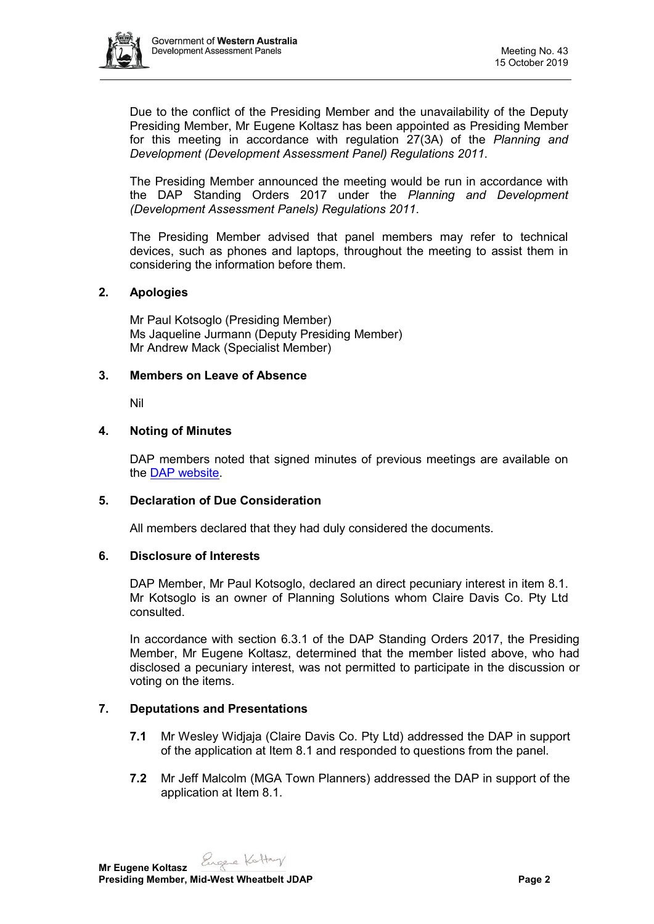

Due to the conflict of the Presiding Member and the unavailability of the Deputy Presiding Member, Mr Eugene Koltasz has been appointed as Presiding Member for this meeting in accordance with regulation 27(3A) of the *Planning and Development (Development Assessment Panel) Regulations 2011*.

The Presiding Member announced the meeting would be run in accordance with the DAP Standing Orders 2017 under the *Planning and Development (Development Assessment Panels) Regulations 2011*.

The Presiding Member advised that panel members may refer to technical devices, such as phones and laptops, throughout the meeting to assist them in considering the information before them.

## **2. Apologies**

Mr Paul Kotsoglo (Presiding Member) Ms Jaqueline Jurmann (Deputy Presiding Member) Mr Andrew Mack (Specialist Member)

## **3. Members on Leave of Absence**

Nil

## **4. Noting of Minutes**

DAP members noted that signed minutes of previous meetings are available on the [DAP website.](https://www.dplh.wa.gov.au/about/development-assessment-panels/daps-agendas-and-minutes)

## **5. Declaration of Due Consideration**

All members declared that they had duly considered the documents.

#### **6. Disclosure of Interests**

DAP Member, Mr Paul Kotsoglo, declared an direct pecuniary interest in item 8.1. Mr Kotsoglo is an owner of Planning Solutions whom Claire Davis Co. Pty Ltd consulted.

In accordance with section 6.3.1 of the DAP Standing Orders 2017, the Presiding Member, Mr Eugene Koltasz, determined that the member listed above, who had disclosed a pecuniary interest, was not permitted to participate in the discussion or voting on the items.

# **7. Deputations and Presentations**

- **7.1** Mr Wesley Widjaja (Claire Davis Co. Pty Ltd) addressed the DAP in support of the application at Item 8.1 and responded to questions from the panel.
- **7.2** Mr Jeff Malcolm (MGA Town Planners) addressed the DAP in support of the application at Item 8.1.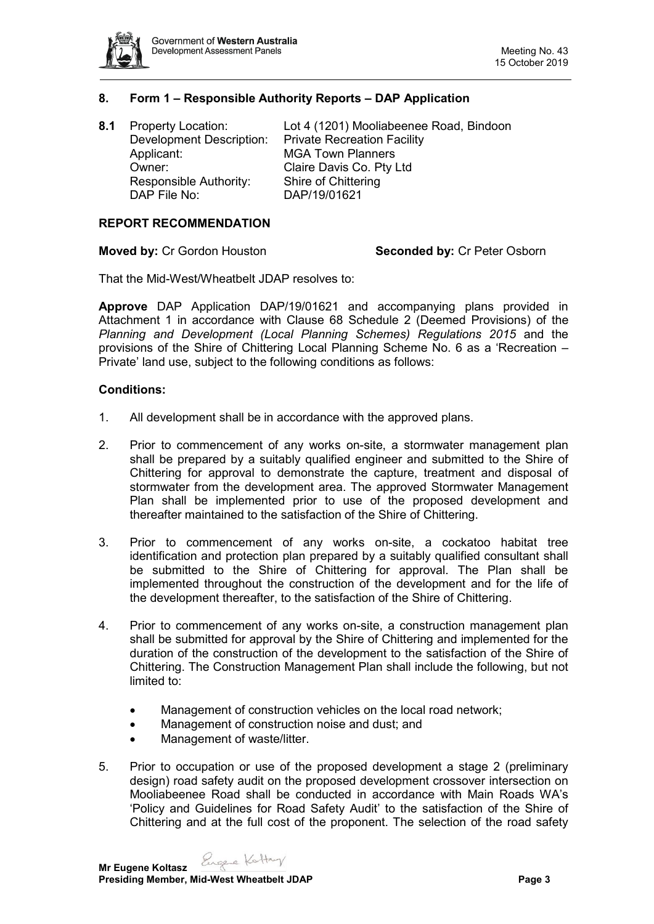

## **8. Form 1 – Responsible Authority Reports – DAP Application**

| <b>Property Location:</b>       | Lot 4 (1201) Mooliabeenee Road, Bindoon |
|---------------------------------|-----------------------------------------|
| <b>Development Description:</b> | <b>Private Recreation Facility</b>      |
| Applicant:                      | <b>MGA Town Planners</b>                |
| Owner:                          | Claire Davis Co. Pty Ltd                |
| Responsible Authority:          | Shire of Chittering                     |
| DAP File No:                    | DAP/19/01621                            |
|                                 |                                         |

# **REPORT RECOMMENDATION**

**Moved by:** Cr Gordon Houston **Seconded by:** Cr Peter Osborn

That the Mid-West/Wheatbelt JDAP resolves to:

**Approve** DAP Application DAP/19/01621 and accompanying plans provided in Attachment 1 in accordance with Clause 68 Schedule 2 (Deemed Provisions) of the *Planning and Development (Local Planning Schemes) Regulations 2015* and the provisions of the Shire of Chittering Local Planning Scheme No. 6 as a 'Recreation – Private' land use, subject to the following conditions as follows:

#### **Conditions:**

- 1. All development shall be in accordance with the approved plans.
- 2. Prior to commencement of any works on-site, a stormwater management plan shall be prepared by a suitably qualified engineer and submitted to the Shire of Chittering for approval to demonstrate the capture, treatment and disposal of stormwater from the development area. The approved Stormwater Management Plan shall be implemented prior to use of the proposed development and thereafter maintained to the satisfaction of the Shire of Chittering.
- 3. Prior to commencement of any works on-site, a cockatoo habitat tree identification and protection plan prepared by a suitably qualified consultant shall be submitted to the Shire of Chittering for approval. The Plan shall be implemented throughout the construction of the development and for the life of the development thereafter, to the satisfaction of the Shire of Chittering.
- 4. Prior to commencement of any works on-site, a construction management plan shall be submitted for approval by the Shire of Chittering and implemented for the duration of the construction of the development to the satisfaction of the Shire of Chittering. The Construction Management Plan shall include the following, but not limited to:
	- Management of construction vehicles on the local road network;
	- Management of construction noise and dust; and
	- Management of waste/litter.
- 5. Prior to occupation or use of the proposed development a stage 2 (preliminary design) road safety audit on the proposed development crossover intersection on Mooliabeenee Road shall be conducted in accordance with Main Roads WA's 'Policy and Guidelines for Road Safety Audit' to the satisfaction of the Shire of Chittering and at the full cost of the proponent. The selection of the road safety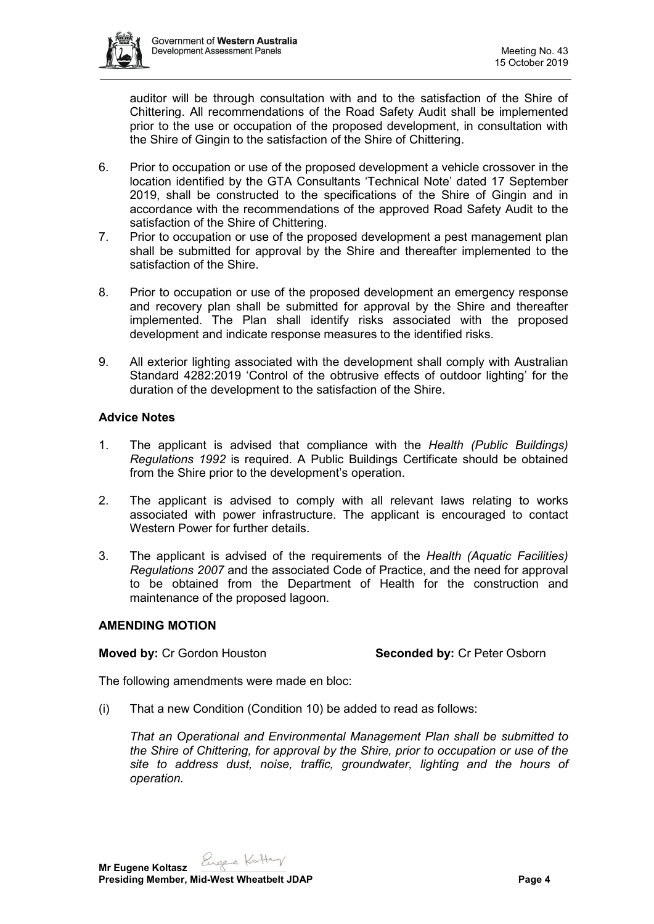

auditor will be through consultation with and to the satisfaction of the Shire of Chittering. All recommendations of the Road Safety Audit shall be implemented prior to the use or occupation of the proposed development, in consultation with the Shire of Gingin to the satisfaction of the Shire of Chittering.

- 6. Prior to occupation or use of the proposed development a vehicle crossover in the location identified by the GTA Consultants 'Technical Note' dated 17 September 2019, shall be constructed to the specifications of the Shire of Gingin and in accordance with the recommendations of the approved Road Safety Audit to the satisfaction of the Shire of Chittering.
- 7. Prior to occupation or use of the proposed development a pest management plan shall be submitted for approval by the Shire and thereafter implemented to the satisfaction of the Shire.
- 8. Prior to occupation or use of the proposed development an emergency response and recovery plan shall be submitted for approval by the Shire and thereafter implemented. The Plan shall identify risks associated with the proposed development and indicate response measures to the identified risks.
- 9. All exterior lighting associated with the development shall comply with Australian Standard 4282:2019 'Control of the obtrusive effects of outdoor lighting' for the duration of the development to the satisfaction of the Shire.

# **Advice Notes**

- 1. The applicant is advised that compliance with the *Health (Public Buildings) Regulations 1992* is required. A Public Buildings Certificate should be obtained from the Shire prior to the development's operation.
- 2. The applicant is advised to comply with all relevant laws relating to works associated with power infrastructure. The applicant is encouraged to contact Western Power for further details.
- 3. The applicant is advised of the requirements of the *Health (Aquatic Facilities) Regulations 2007* and the associated Code of Practice, and the need for approval to be obtained from the Department of Health for the construction and maintenance of the proposed lagoon.

#### **AMENDING MOTION**

# **Moved by:** Cr Gordon Houston **Seconded by:** Cr Peter Osborn

The following amendments were made en bloc:

(i) That a new Condition (Condition 10) be added to read as follows:

*That an Operational and Environmental Management Plan shall be submitted to the Shire of Chittering, for approval by the Shire, prior to occupation or use of the site to address dust, noise, traffic, groundwater, lighting and the hours of operation.*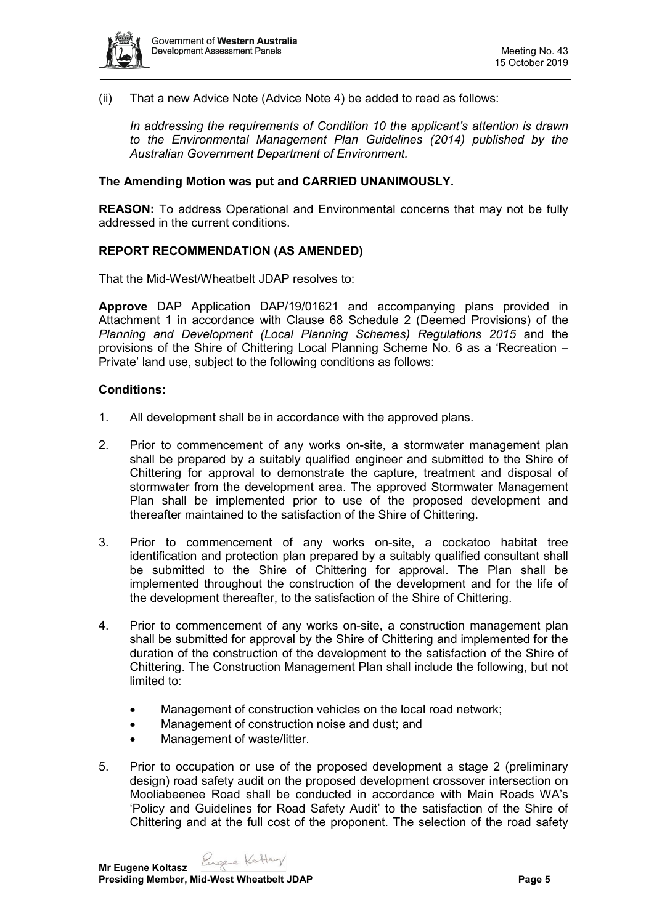

(ii) That a new Advice Note (Advice Note 4) be added to read as follows:

*In addressing the requirements of Condition 10 the applicant's attention is drawn to the Environmental Management Plan Guidelines (2014) published by the Australian Government Department of Environment.*

## **The Amending Motion was put and CARRIED UNANIMOUSLY.**

**REASON:** To address Operational and Environmental concerns that may not be fully addressed in the current conditions.

## **REPORT RECOMMENDATION (AS AMENDED)**

That the Mid-West/Wheatbelt JDAP resolves to:

**Approve** DAP Application DAP/19/01621 and accompanying plans provided in Attachment 1 in accordance with Clause 68 Schedule 2 (Deemed Provisions) of the *Planning and Development (Local Planning Schemes) Regulations 2015* and the provisions of the Shire of Chittering Local Planning Scheme No. 6 as a 'Recreation – Private' land use, subject to the following conditions as follows:

## **Conditions:**

- 1. All development shall be in accordance with the approved plans.
- 2. Prior to commencement of any works on-site, a stormwater management plan shall be prepared by a suitably qualified engineer and submitted to the Shire of Chittering for approval to demonstrate the capture, treatment and disposal of stormwater from the development area. The approved Stormwater Management Plan shall be implemented prior to use of the proposed development and thereafter maintained to the satisfaction of the Shire of Chittering.
- 3. Prior to commencement of any works on-site, a cockatoo habitat tree identification and protection plan prepared by a suitably qualified consultant shall be submitted to the Shire of Chittering for approval. The Plan shall be implemented throughout the construction of the development and for the life of the development thereafter, to the satisfaction of the Shire of Chittering.
- 4. Prior to commencement of any works on-site, a construction management plan shall be submitted for approval by the Shire of Chittering and implemented for the duration of the construction of the development to the satisfaction of the Shire of Chittering. The Construction Management Plan shall include the following, but not limited to:
	- Management of construction vehicles on the local road network;
	- Management of construction noise and dust; and
	- Management of waste/litter.
- 5. Prior to occupation or use of the proposed development a stage 2 (preliminary design) road safety audit on the proposed development crossover intersection on Mooliabeenee Road shall be conducted in accordance with Main Roads WA's 'Policy and Guidelines for Road Safety Audit' to the satisfaction of the Shire of Chittering and at the full cost of the proponent. The selection of the road safety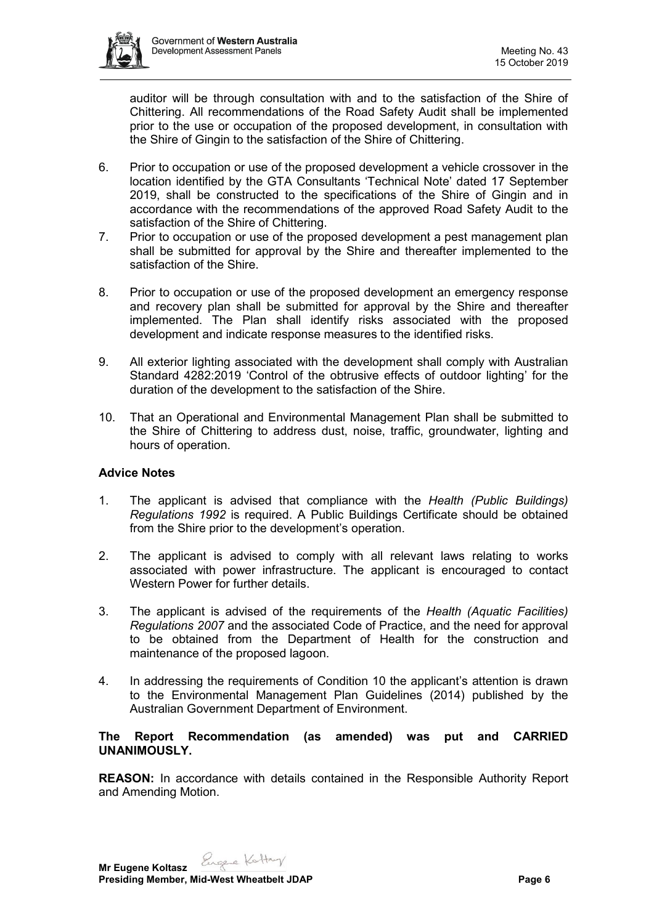

auditor will be through consultation with and to the satisfaction of the Shire of Chittering. All recommendations of the Road Safety Audit shall be implemented prior to the use or occupation of the proposed development, in consultation with the Shire of Gingin to the satisfaction of the Shire of Chittering.

- 6. Prior to occupation or use of the proposed development a vehicle crossover in the location identified by the GTA Consultants 'Technical Note' dated 17 September 2019, shall be constructed to the specifications of the Shire of Gingin and in accordance with the recommendations of the approved Road Safety Audit to the satisfaction of the Shire of Chittering.
- 7. Prior to occupation or use of the proposed development a pest management plan shall be submitted for approval by the Shire and thereafter implemented to the satisfaction of the Shire.
- 8. Prior to occupation or use of the proposed development an emergency response and recovery plan shall be submitted for approval by the Shire and thereafter implemented. The Plan shall identify risks associated with the proposed development and indicate response measures to the identified risks.
- 9. All exterior lighting associated with the development shall comply with Australian Standard 4282:2019 'Control of the obtrusive effects of outdoor lighting' for the duration of the development to the satisfaction of the Shire.
- 10. That an Operational and Environmental Management Plan shall be submitted to the Shire of Chittering to address dust, noise, traffic, groundwater, lighting and hours of operation.

# **Advice Notes**

- 1. The applicant is advised that compliance with the *Health (Public Buildings) Regulations 1992* is required. A Public Buildings Certificate should be obtained from the Shire prior to the development's operation.
- 2. The applicant is advised to comply with all relevant laws relating to works associated with power infrastructure. The applicant is encouraged to contact Western Power for further details.
- 3. The applicant is advised of the requirements of the *Health (Aquatic Facilities) Regulations 2007* and the associated Code of Practice, and the need for approval to be obtained from the Department of Health for the construction and maintenance of the proposed lagoon.
- 4. In addressing the requirements of Condition 10 the applicant's attention is drawn to the Environmental Management Plan Guidelines (2014) published by the Australian Government Department of Environment.

## **The Report Recommendation (as amended) was put and CARRIED UNANIMOUSLY.**

**REASON:** In accordance with details contained in the Responsible Authority Report and Amending Motion.